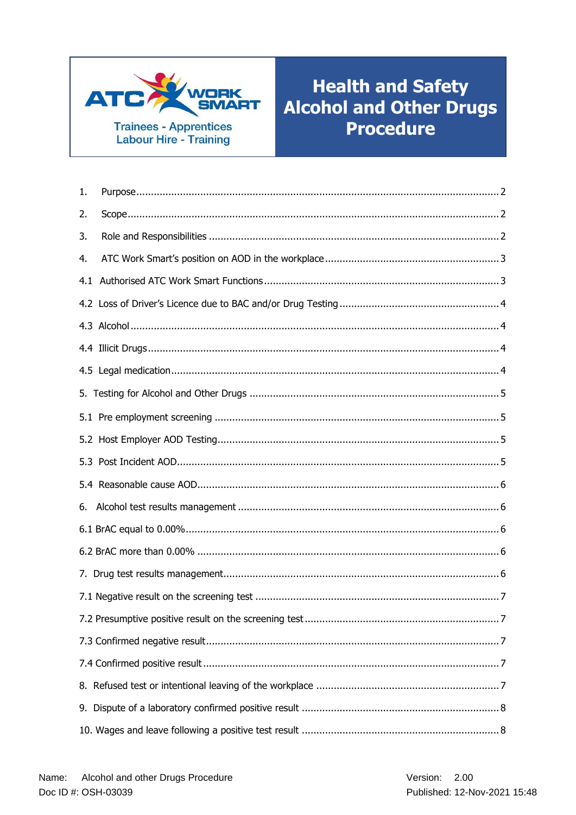

# **Health and Safety Alcohol and Other Drugs Procedure**

| 1. |  |
|----|--|
| 2. |  |
| 3. |  |
| 4. |  |
|    |  |
|    |  |
|    |  |
|    |  |
|    |  |
|    |  |
|    |  |
|    |  |
|    |  |
|    |  |
| 6. |  |
|    |  |
|    |  |
|    |  |
|    |  |
|    |  |
|    |  |
|    |  |
|    |  |
|    |  |
|    |  |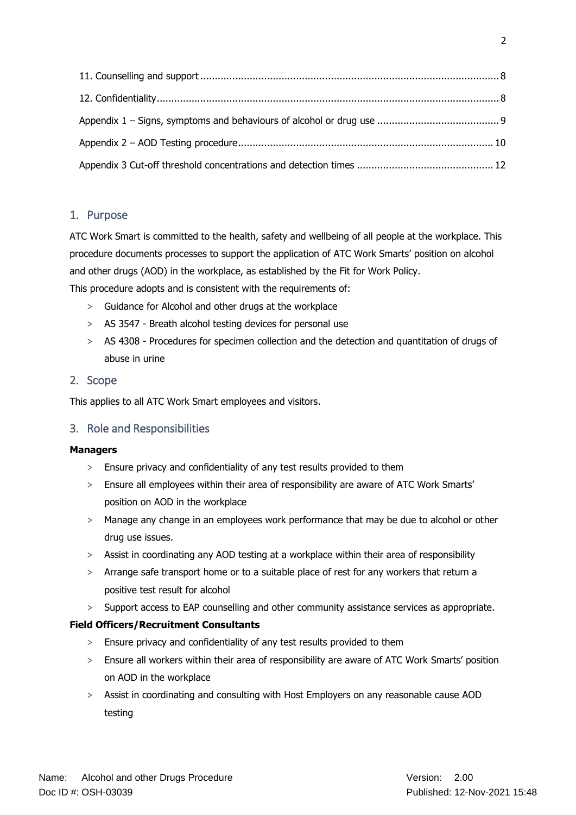# <span id="page-1-0"></span>1. Purpose

ATC Work Smart is committed to the health, safety and wellbeing of all people at the workplace. This procedure documents processes to support the application of ATC Work Smarts' position on alcohol and other drugs (AOD) in the workplace, as established by the Fit for Work Policy.

This procedure adopts and is consistent with the requirements of:

- > Guidance for Alcohol and other drugs at the workplace
- > AS 3547 Breath alcohol testing devices for personal use
- > AS 4308 Procedures for specimen collection and the detection and quantitation of drugs of abuse in urine

# <span id="page-1-1"></span>2. Scope

This applies to all ATC Work Smart employees and visitors.

# <span id="page-1-2"></span>3. Role and Responsibilities

### **Managers**

- > Ensure privacy and confidentiality of any test results provided to them
- > Ensure all employees within their area of responsibility are aware of ATC Work Smarts' position on AOD in the workplace
- > Manage any change in an employees work performance that may be due to alcohol or other drug use issues.
- > Assist in coordinating any AOD testing at a workplace within their area of responsibility
- > Arrange safe transport home or to a suitable place of rest for any workers that return a positive test result for alcohol
- > Support access to EAP counselling and other community assistance services as appropriate.

### **Field Officers/Recruitment Consultants**

- > Ensure privacy and confidentiality of any test results provided to them
- > Ensure all workers within their area of responsibility are aware of ATC Work Smarts' position on AOD in the workplace
- > Assist in coordinating and consulting with Host Employers on any reasonable cause AOD testing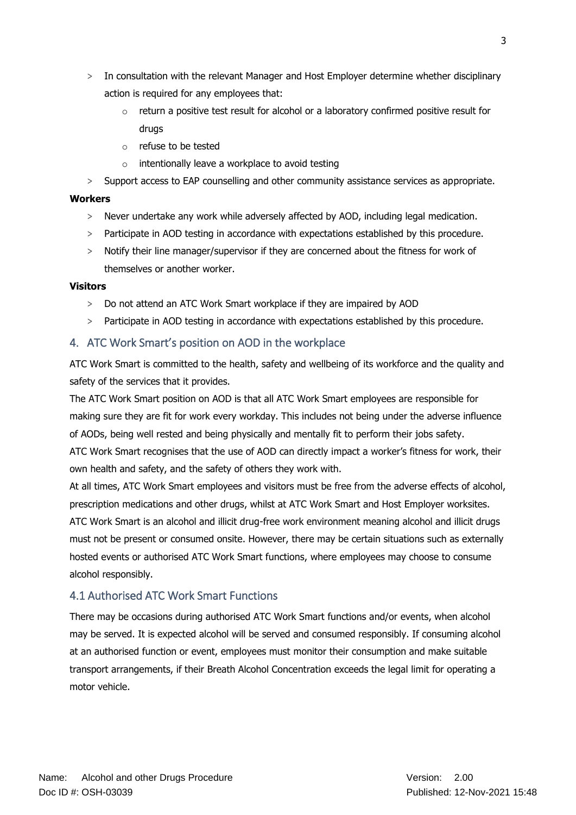- > In consultation with the relevant Manager and Host Employer determine whether disciplinary action is required for any employees that:
	- $\circ$  return a positive test result for alcohol or a laboratory confirmed positive result for drugs
	- o refuse to be tested
	- o intentionally leave a workplace to avoid testing
- > Support access to EAP counselling and other community assistance services as appropriate.

#### **Workers**

- > Never undertake any work while adversely affected by AOD, including legal medication.
- > Participate in AOD testing in accordance with expectations established by this procedure.
- > Notify their line manager/supervisor if they are concerned about the fitness for work of themselves or another worker.

#### **Visitors**

- > Do not attend an ATC Work Smart workplace if they are impaired by AOD
- > Participate in AOD testing in accordance with expectations established by this procedure.

### <span id="page-2-0"></span>4. ATC Work Smart's position on AOD in the workplace

ATC Work Smart is committed to the health, safety and wellbeing of its workforce and the quality and safety of the services that it provides.

The ATC Work Smart position on AOD is that all ATC Work Smart employees are responsible for making sure they are fit for work every workday. This includes not being under the adverse influence of AODs, being well rested and being physically and mentally fit to perform their jobs safety.

ATC Work Smart recognises that the use of AOD can directly impact a worker's fitness for work, their own health and safety, and the safety of others they work with.

At all times, ATC Work Smart employees and visitors must be free from the adverse effects of alcohol, prescription medications and other drugs, whilst at ATC Work Smart and Host Employer worksites.

ATC Work Smart is an alcohol and illicit drug-free work environment meaning alcohol and illicit drugs must not be present or consumed onsite. However, there may be certain situations such as externally hosted events or authorised ATC Work Smart functions, where employees may choose to consume alcohol responsibly.

### <span id="page-2-1"></span>4.1 Authorised ATC Work Smart Functions

There may be occasions during authorised ATC Work Smart functions and/or events, when alcohol may be served. It is expected alcohol will be served and consumed responsibly. If consuming alcohol at an authorised function or event, employees must monitor their consumption and make suitable transport arrangements, if their Breath Alcohol Concentration exceeds the legal limit for operating a motor vehicle.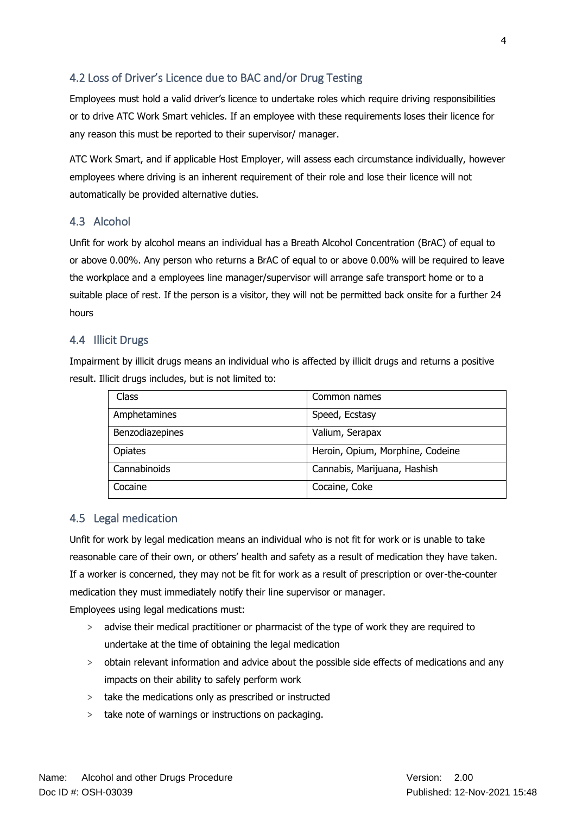# <span id="page-3-0"></span>4.2 Loss of Driver's Licence due to BAC and/or Drug Testing

Employees must hold a valid driver's licence to undertake roles which require driving responsibilities or to drive ATC Work Smart vehicles. If an employee with these requirements loses their licence for any reason this must be reported to their supervisor/ manager.

ATC Work Smart, and if applicable Host Employer, will assess each circumstance individually, however employees where driving is an inherent requirement of their role and lose their licence will not automatically be provided alternative duties.

### <span id="page-3-1"></span>4.3 Alcohol

Unfit for work by alcohol means an individual has a Breath Alcohol Concentration (BrAC) of equal to or above 0.00%. Any person who returns a BrAC of equal to or above 0.00% will be required to leave the workplace and a employees line manager/supervisor will arrange safe transport home or to a suitable place of rest. If the person is a visitor, they will not be permitted back onsite for a further 24 hours

#### <span id="page-3-2"></span>4.4 Illicit Drugs

Impairment by illicit drugs means an individual who is affected by illicit drugs and returns a positive result. Illicit drugs includes, but is not limited to:

| Class           | Common names                     |
|-----------------|----------------------------------|
| Amphetamines    | Speed, Ecstasy                   |
| Benzodiazepines | Valium, Serapax                  |
| <b>Opiates</b>  | Heroin, Opium, Morphine, Codeine |
| Cannabinoids    | Cannabis, Marijuana, Hashish     |
| Cocaine         | Cocaine, Coke                    |

### <span id="page-3-3"></span>4.5 Legal medication

Unfit for work by legal medication means an individual who is not fit for work or is unable to take reasonable care of their own, or others' health and safety as a result of medication they have taken. If a worker is concerned, they may not be fit for work as a result of prescription or over-the-counter medication they must immediately notify their line supervisor or manager.

Employees using legal medications must:

- > advise their medical practitioner or pharmacist of the type of work they are required to undertake at the time of obtaining the legal medication
- > obtain relevant information and advice about the possible side effects of medications and any impacts on their ability to safely perform work
- > take the medications only as prescribed or instructed
- > take note of warnings or instructions on packaging.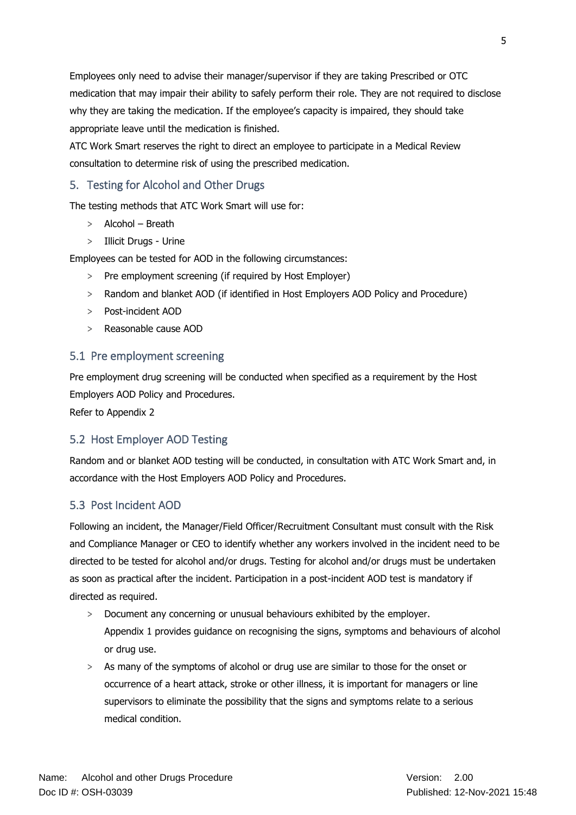Employees only need to advise their manager/supervisor if they are taking Prescribed or OTC medication that may impair their ability to safely perform their role. They are not required to disclose why they are taking the medication. If the employee's capacity is impaired, they should take appropriate leave until the medication is finished.

ATC Work Smart reserves the right to direct an employee to participate in a Medical Review consultation to determine risk of using the prescribed medication.

# <span id="page-4-0"></span>5. Testing for Alcohol and Other Drugs

The testing methods that ATC Work Smart will use for:

- > Alcohol Breath
- > Illicit Drugs Urine

Employees can be tested for AOD in the following circumstances:

- > Pre employment screening (if required by Host Employer)
- > Random and blanket AOD (if identified in Host Employers AOD Policy and Procedure)
- > Post-incident AOD
- > Reasonable cause AOD

# <span id="page-4-1"></span>5.1 Pre employment screening

Pre employment drug screening will be conducted when specified as a requirement by the Host Employers AOD Policy and Procedures.

Refer to Appendix 2

### <span id="page-4-2"></span>5.2 Host Employer AOD Testing

Random and or blanket AOD testing will be conducted, in consultation with ATC Work Smart and, in accordance with the Host Employers AOD Policy and Procedures.

### <span id="page-4-3"></span>5.3 Post Incident AOD

Following an incident, the Manager/Field Officer/Recruitment Consultant must consult with the Risk and Compliance Manager or CEO to identify whether any workers involved in the incident need to be directed to be tested for alcohol and/or drugs. Testing for alcohol and/or drugs must be undertaken as soon as practical after the incident. Participation in a post-incident AOD test is mandatory if directed as required.

- > Document any concerning or unusual behaviours exhibited by the employer. Appendix 1 provides guidance on recognising the signs, symptoms and behaviours of alcohol or drug use.
- > As many of the symptoms of alcohol or drug use are similar to those for the onset or occurrence of a heart attack, stroke or other illness, it is important for managers or line supervisors to eliminate the possibility that the signs and symptoms relate to a serious medical condition.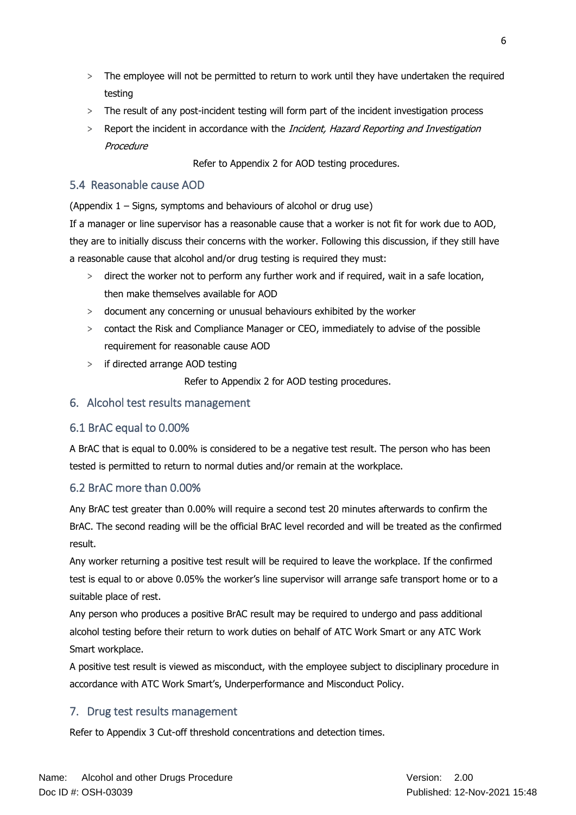- > The employee will not be permitted to return to work until they have undertaken the required testing
- > The result of any post-incident testing will form part of the incident investigation process
- > Report the incident in accordance with the *Incident, Hazard Reporting and Investigation* Procedure

Refer to Appendix 2 for AOD testing procedures.

# <span id="page-5-0"></span>5.4 Reasonable cause AOD

(Appendix 1 – Signs, symptoms and behaviours of alcohol or drug use)

If a manager or line supervisor has a reasonable cause that a worker is not fit for work due to AOD, they are to initially discuss their concerns with the worker. Following this discussion, if they still have a reasonable cause that alcohol and/or drug testing is required they must:

- > direct the worker not to perform any further work and if required, wait in a safe location, then make themselves available for AOD
- > document any concerning or unusual behaviours exhibited by the worker
- > contact the Risk and Compliance Manager or CEO, immediately to advise of the possible requirement for reasonable cause AOD
- > if directed arrange AOD testing

Refer to Appendix 2 for AOD testing procedures.

# <span id="page-5-1"></span>6. Alcohol test results management

# <span id="page-5-2"></span>6.1 BrAC equal to 0.00%

A BrAC that is equal to 0.00% is considered to be a negative test result. The person who has been tested is permitted to return to normal duties and/or remain at the workplace.

# <span id="page-5-3"></span>6.2 BrAC more than 0.00%

Any BrAC test greater than 0.00% will require a second test 20 minutes afterwards to confirm the BrAC. The second reading will be the official BrAC level recorded and will be treated as the confirmed result.

Any worker returning a positive test result will be required to leave the workplace. If the confirmed test is equal to or above 0.05% the worker's line supervisor will arrange safe transport home or to a suitable place of rest.

Any person who produces a positive BrAC result may be required to undergo and pass additional alcohol testing before their return to work duties on behalf of ATC Work Smart or any ATC Work Smart workplace.

A positive test result is viewed as misconduct, with the employee subject to disciplinary procedure in accordance with ATC Work Smart's, Underperformance and Misconduct Policy.

# <span id="page-5-4"></span>7. Drug test results management

Refer to Appendix 3 Cut-off threshold concentrations and detection times.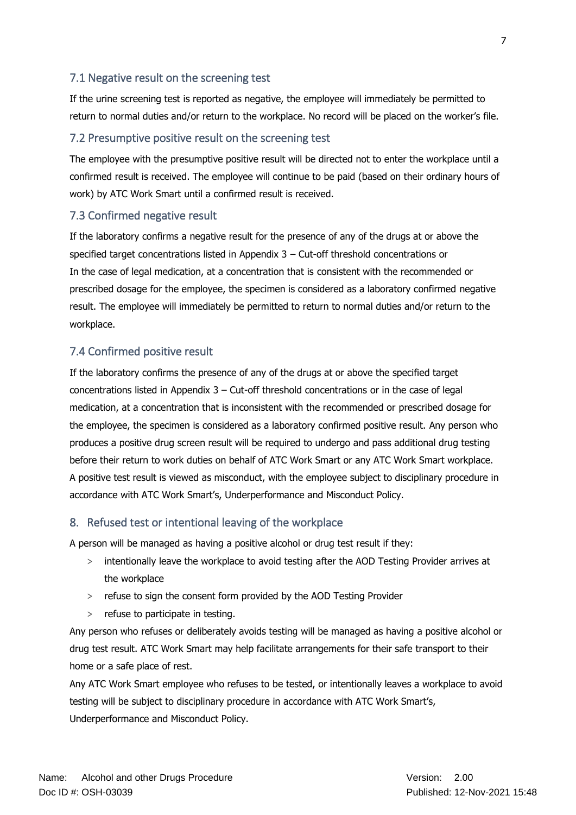### <span id="page-6-0"></span>7.1 Negative result on the screening test

If the urine screening test is reported as negative, the employee will immediately be permitted to return to normal duties and/or return to the workplace. No record will be placed on the worker's file.

#### <span id="page-6-1"></span>7.2 Presumptive positive result on the screening test

The employee with the presumptive positive result will be directed not to enter the workplace until a confirmed result is received. The employee will continue to be paid (based on their ordinary hours of work) by ATC Work Smart until a confirmed result is received.

#### <span id="page-6-2"></span>7.3 Confirmed negative result

If the laboratory confirms a negative result for the presence of any of the drugs at or above the specified target concentrations listed in Appendix 3 – Cut-off threshold concentrations or In the case of legal medication, at a concentration that is consistent with the recommended or prescribed dosage for the employee, the specimen is considered as a laboratory confirmed negative result. The employee will immediately be permitted to return to normal duties and/or return to the workplace.

#### <span id="page-6-3"></span>7.4 Confirmed positive result

If the laboratory confirms the presence of any of the drugs at or above the specified target concentrations listed in Appendix 3 – Cut-off threshold concentrations or in the case of legal medication, at a concentration that is inconsistent with the recommended or prescribed dosage for the employee, the specimen is considered as a laboratory confirmed positive result. Any person who produces a positive drug screen result will be required to undergo and pass additional drug testing before their return to work duties on behalf of ATC Work Smart or any ATC Work Smart workplace. A positive test result is viewed as misconduct, with the employee subject to disciplinary procedure in accordance with ATC Work Smart's, Underperformance and Misconduct Policy.

#### <span id="page-6-4"></span>8. Refused test or intentional leaving of the workplace

A person will be managed as having a positive alcohol or drug test result if they:

- > intentionally leave the workplace to avoid testing after the AOD Testing Provider arrives at the workplace
- > refuse to sign the consent form provided by the AOD Testing Provider
- > refuse to participate in testing.

Any person who refuses or deliberately avoids testing will be managed as having a positive alcohol or drug test result. ATC Work Smart may help facilitate arrangements for their safe transport to their home or a safe place of rest.

Any ATC Work Smart employee who refuses to be tested, or intentionally leaves a workplace to avoid testing will be subject to disciplinary procedure in accordance with ATC Work Smart's, Underperformance and Misconduct Policy.

7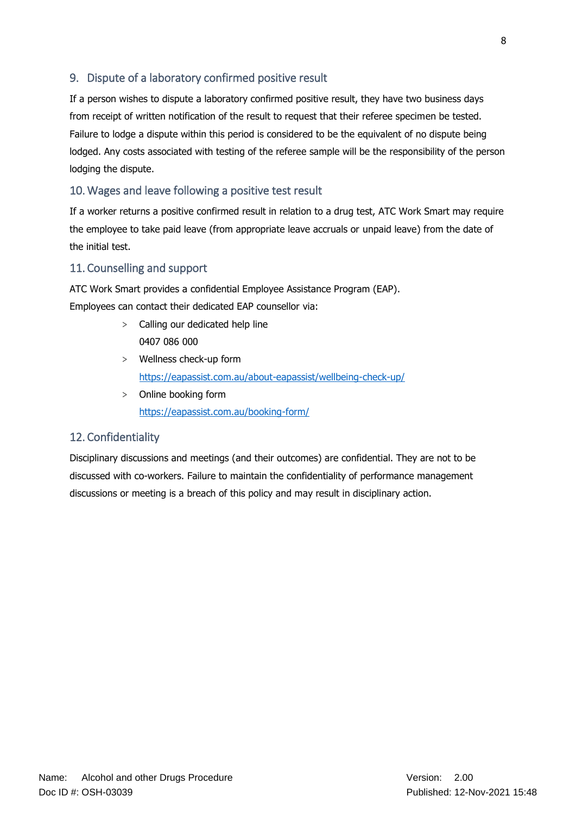# <span id="page-7-0"></span>9. Dispute of a laboratory confirmed positive result

If a person wishes to dispute a laboratory confirmed positive result, they have two business days from receipt of written notification of the result to request that their referee specimen be tested. Failure to lodge a dispute within this period is considered to be the equivalent of no dispute being lodged. Any costs associated with testing of the referee sample will be the responsibility of the person lodging the dispute.

### <span id="page-7-1"></span>10.Wages and leave following a positive test result

If a worker returns a positive confirmed result in relation to a drug test, ATC Work Smart may require the employee to take paid leave (from appropriate leave accruals or unpaid leave) from the date of the initial test.

### <span id="page-7-2"></span>11. Counselling and support

ATC Work Smart provides a confidential Employee Assistance Program (EAP). Employees can contact their dedicated EAP counsellor via:

- > Calling our dedicated help line 0407 086 000
- > Wellness check-up form <https://eapassist.com.au/about-eapassist/wellbeing-check-up/>
- > Online booking form <https://eapassist.com.au/booking-form/>

### <span id="page-7-3"></span>12. Confidentiality

Disciplinary discussions and meetings (and their outcomes) are confidential. They are not to be discussed with co-workers. Failure to maintain the confidentiality of performance management discussions or meeting is a breach of this policy and may result in disciplinary action.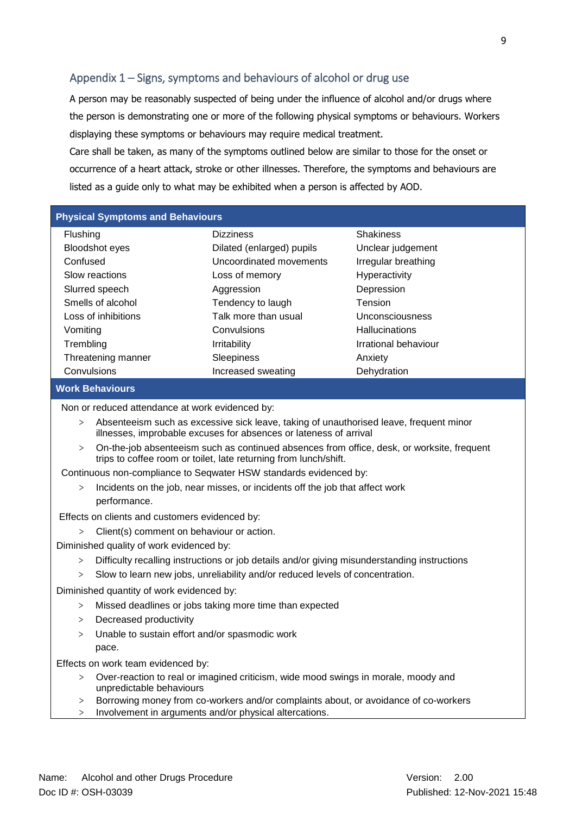# <span id="page-8-0"></span>Appendix 1 – Signs, symptoms and behaviours of alcohol or drug use

A person may be reasonably suspected of being under the influence of alcohol and/or drugs where the person is demonstrating one or more of the following physical symptoms or behaviours. Workers displaying these symptoms or behaviours may require medical treatment.

Care shall be taken, as many of the symptoms outlined below are similar to those for the onset or occurrence of a heart attack, stroke or other illnesses. Therefore, the symptoms and behaviours are listed as a guide only to what may be exhibited when a person is affected by AOD.

#### **Physical Symptoms and Behaviours**

| <b>Flushing</b>       | <b>Dizziness</b>          | <b>Shakiness</b>      |
|-----------------------|---------------------------|-----------------------|
| <b>Bloodshot eyes</b> | Dilated (enlarged) pupils | Unclear judgement     |
| Confused              | Uncoordinated movements   | Irregular breathing   |
| Slow reactions        | Loss of memory            | Hyperactivity         |
| Slurred speech        | Aggression                | Depression            |
| Smells of alcohol     | Tendency to laugh         | Tension               |
| Loss of inhibitions   | Talk more than usual      | Unconsciousness       |
| Vomiting              | Convulsions               | <b>Hallucinations</b> |
| Trembling             | <b>Irritability</b>       | Irrational behaviour  |
| Threatening manner    | <b>Sleepiness</b>         | Anxiety               |
| Convulsions           | Increased sweating        | Dehydration           |
|                       |                           |                       |

#### **Work Behaviours**

Non or reduced attendance at work evidenced by:

- > Absenteeism such as excessive sick leave, taking of unauthorised leave, frequent minor illnesses, improbable excuses for absences or lateness of arrival
- > On-the-job absenteeism such as continued absences from office, desk, or worksite, frequent trips to coffee room or toilet, late returning from lunch/shift.

Continuous non-compliance to Seqwater HSW standards evidenced by:

Incidents on the job, near misses, or incidents off the job that affect work performance.

Effects on clients and customers evidenced by:

> Client(s) comment on behaviour or action.

Diminished quality of work evidenced by:

- > Difficulty recalling instructions or job details and/or giving misunderstanding instructions
- > Slow to learn new jobs, unreliability and/or reduced levels of concentration.

Diminished quantity of work evidenced by:

- > Missed deadlines or jobs taking more time than expected
- > Decreased productivity
- > Unable to sustain effort and/or spasmodic work pace.

Effects on work team evidenced by:

- > Over-reaction to real or imagined criticism, wide mood swings in morale, moody and unpredictable behaviours
- > Borrowing money from co-workers and/or complaints about, or avoidance of co-workers
- > Involvement in arguments and/or physical altercations.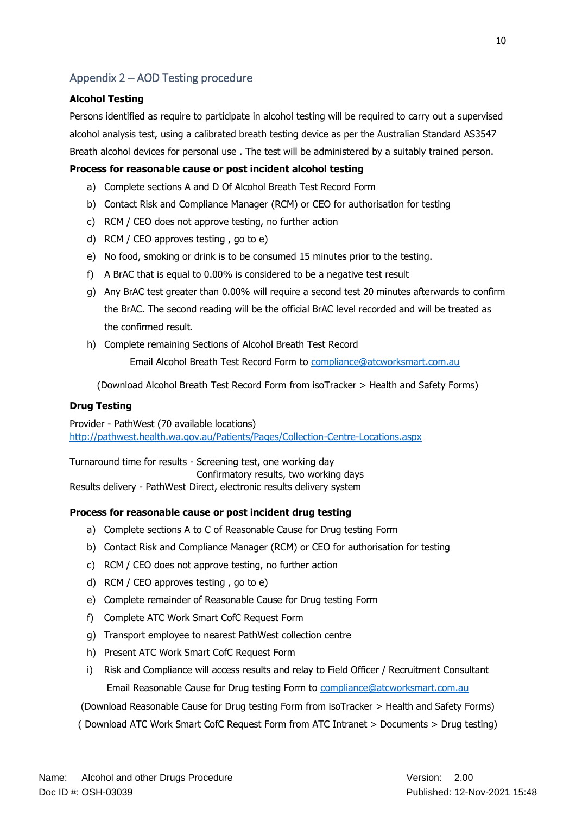# <span id="page-9-0"></span>Appendix 2 – AOD Testing procedure

#### **Alcohol Testing**

Persons identified as require to participate in alcohol testing will be required to carry out a supervised alcohol analysis test, using a calibrated breath testing device as per the Australian Standard AS3547 Breath alcohol devices for personal use . The test will be administered by a suitably trained person.

#### **Process for reasonable cause or post incident alcohol testing**

- a) Complete sections A and D Of Alcohol Breath Test Record Form
- b) Contact Risk and Compliance Manager (RCM) or CEO for authorisation for testing
- c) RCM / CEO does not approve testing, no further action
- d) RCM / CEO approves testing , go to e)
- e) No food, smoking or drink is to be consumed 15 minutes prior to the testing.
- f) A BrAC that is equal to 0.00% is considered to be a negative test result
- g) Any BrAC test greater than 0.00% will require a second test 20 minutes afterwards to confirm the BrAC. The second reading will be the official BrAC level recorded and will be treated as the confirmed result.
- h) Complete remaining Sections of Alcohol Breath Test Record

Email Alcohol Breath Test Record Form to [compliance@atcworksmart.com.au](mailto:compliance@atcworksmart.com.au)

(Download Alcohol Breath Test Record Form from isoTracker > Health and Safety Forms)

#### **Drug Testing**

Provider - PathWest (70 available locations) <http://pathwest.health.wa.gov.au/Patients/Pages/Collection-Centre-Locations.aspx>

Turnaround time for results - Screening test, one working day Confirmatory results, two working days Results delivery - PathWest Direct, electronic results delivery system

#### **Process for reasonable cause or post incident drug testing**

- a) Complete sections A to C of Reasonable Cause for Drug testing Form
- b) Contact Risk and Compliance Manager (RCM) or CEO for authorisation for testing
- c) RCM / CEO does not approve testing, no further action
- d) RCM / CEO approves testing , go to e)
- e) Complete remainder of Reasonable Cause for Drug testing Form
- f) Complete ATC Work Smart CofC Request Form
- g) Transport employee to nearest PathWest collection centre
- h) Present ATC Work Smart CofC Request Form
- i) Risk and Compliance will access results and relay to Field Officer / Recruitment Consultant Email Reasonable Cause for Drug testing Form to [compliance@atcworksmart.com.au](mailto:compliance@atcworksmart.com.au)

(Download Reasonable Cause for Drug testing Form from isoTracker > Health and Safety Forms)

( Download ATC Work Smart CofC Request Form from ATC Intranet > Documents > Drug testing)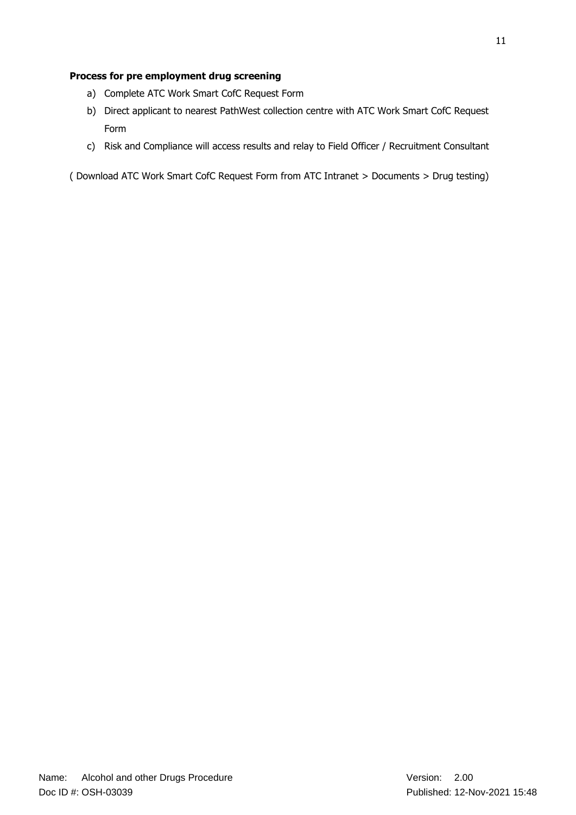### **Process for pre employment drug screening**

- a) Complete ATC Work Smart CofC Request Form
- b) Direct applicant to nearest PathWest collection centre with ATC Work Smart CofC Request Form
- c) Risk and Compliance will access results and relay to Field Officer / Recruitment Consultant

( Download ATC Work Smart CofC Request Form from ATC Intranet > Documents > Drug testing)